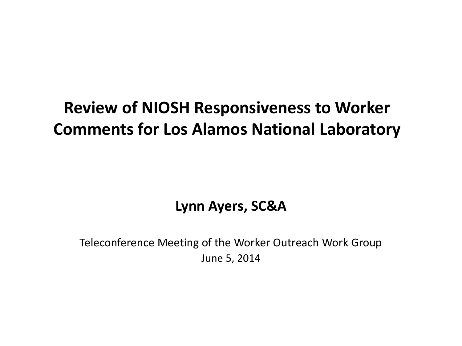# **Review of NIOSH Responsiveness to Worker Comments for Los Alamos National Laboratory**

**Lynn Ayers, SC&A**

Teleconference Meeting of the Worker Outreach Work Group June 5, 2014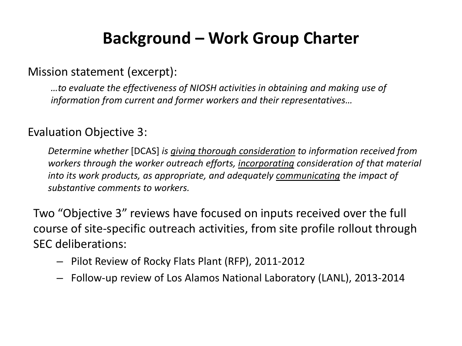## **Background – Work Group Charter**

#### Mission statement (excerpt):

*…to evaluate the effectiveness of NIOSH activities in obtaining and making use of information from current and former workers and their representatives…*

#### Evaluation Objective 3:

*Determine whether* [DCAS] *is giving thorough consideration to information received from workers through the worker outreach efforts, incorporating consideration of that material into its work products, as appropriate, and adequately communicating the impact of substantive comments to workers.*

Two "Objective 3" reviews have focused on inputs received over the full course of site-specific outreach activities, from site profile rollout through SEC deliberations:

- Pilot Review of Rocky Flats Plant (RFP), 2011-2012
- Follow-up review of Los Alamos National Laboratory (LANL), 2013-2014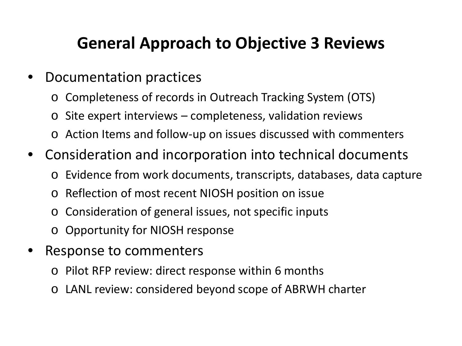# **General Approach to Objective 3 Reviews**

- Documentation practices
	- o Completeness of records in Outreach Tracking System (OTS)
	- $\circ$  Site expert interviews completeness, validation reviews
	- Action Items and follow-up on issues discussed with commenters
- Consideration and incorporation into technical documents
	- o Evidence from work documents, transcripts, databases, data capture
	- o Reflection of most recent NIOSH position on issue
	- o Consideration of general issues, not specific inputs
	- o Opportunity for NIOSH response
- Response to commenters
	- o Pilot RFP review: direct response within 6 months
	- o LANL review: considered beyond scope of ABRWH charter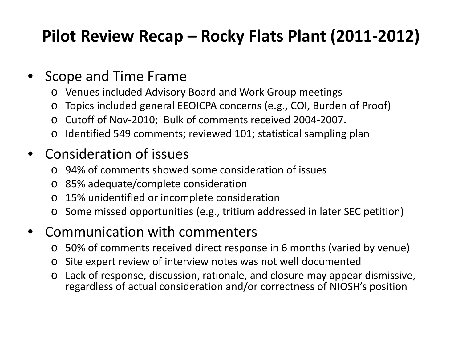# **Pilot Review Recap – Rocky Flats Plant (2011-2012)**

### • Scope and Time Frame

- o Venues included Advisory Board and Work Group meetings
- o Topics included general EEOICPA concerns (e.g., COI, Burden of Proof)
- o Cutoff of Nov-2010; Bulk of comments received 2004-2007.
- o Identified 549 comments; reviewed 101; statistical sampling plan

### • Consideration of issues

- o 94% of comments showed some consideration of issues
- o 85% adequate/complete consideration
- o 15% unidentified or incomplete consideration
- o Some missed opportunities (e.g., tritium addressed in later SEC petition)

### • Communication with commenters

- o 50% of comments received direct response in 6 months (varied by venue)
- o Site expert review of interview notes was not well documented
- o Lack of response, discussion, rationale, and closure may appear dismissive, regardless of actual consideration and/or correctness of NIOSH's position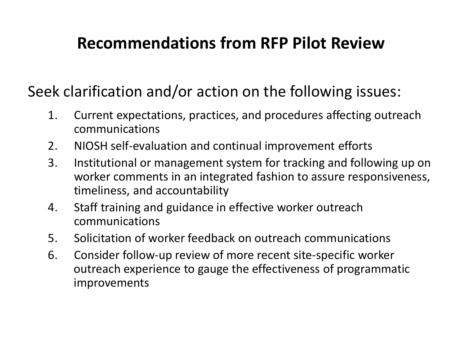# **Recommendations from RFP Pilot Review**

Seek clarification and/or action on the following issues:

- 1. Current expectations, practices, and procedures affecting outreach communications
- 2. NIOSH self-evaluation and continual improvement efforts
- 3. Institutional or management system for tracking and following up on worker comments in an integrated fashion to assure responsiveness, timeliness, and accountability
- 4. Staff training and guidance in effective worker outreach communications
- 5. Solicitation of worker feedback on outreach communications
- 6. Consider follow-up review of more recent site-specific worker outreach experience to gauge the effectiveness of programmatic improvements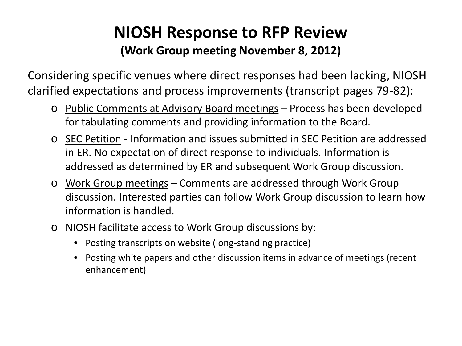## **NIOSH Response to RFP Review (Work Group meeting November 8, 2012)**

Considering specific venues where direct responses had been lacking, NIOSH clarified expectations and process improvements (transcript pages 79-82):

- o Public Comments at Advisory Board meetings Process has been developed for tabulating comments and providing information to the Board.
- o SEC Petition Information and issues submitted in SEC Petition are addressed in ER. No expectation of direct response to individuals. Information is addressed as determined by ER and subsequent Work Group discussion.
- o Work Group meetings Comments are addressed through Work Group discussion. Interested parties can follow Work Group discussion to learn how information is handled.
- o NIOSH facilitate access to Work Group discussions by:
	- Posting transcripts on website (long-standing practice)
	- Posting white papers and other discussion items in advance of meetings (recent enhancement)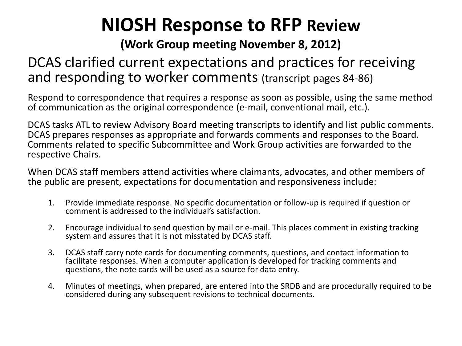# **NIOSH Response to RFP Review**

#### **(Work Group meeting November 8, 2012)**

### DCAS clarified current expectations and practices for receiving and responding to worker comments (transcript pages 84-86)

Respond to correspondence that requires a response as soon as possible, using the same method of communication as the original correspondence (e-mail, conventional mail, etc.).

DCAS tasks ATL to review Advisory Board meeting transcripts to identify and list public comments. DCAS prepares responses as appropriate and forwards comments and responses to the Board. Comments related to specific Subcommittee and Work Group activities are forwarded to the respective Chairs.

When DCAS staff members attend activities where claimants, advocates, and other members of the public are present, expectations for documentation and responsiveness include:

- 1. Provide immediate response. No specific documentation or follow-up is required if question or comment is addressed to the individual's satisfaction.
- 2. Encourage individual to send question by mail or e-mail. This places comment in existing tracking system and assures that it is not misstated by DCAS staff.
- 3. DCAS staff carry note cards for documenting comments, questions, and contact information to facilitate responses. When a computer application is developed for tracking comments and questions, the note cards will be used as a source for data entry.
- 4. Minutes of meetings, when prepared, are entered into the SRDB and are procedurally required to be considered during any subsequent revisions to technical documents.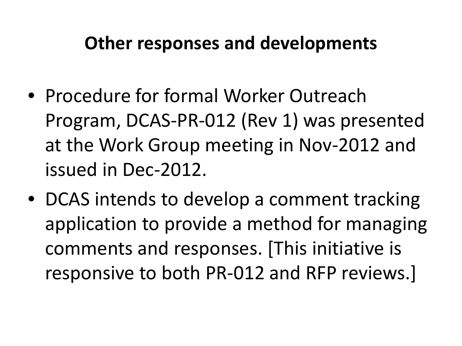# **Other responses and developments**

- Procedure for formal Worker Outreach Program, DCAS-PR-012 (Rev 1) was presented at the Work Group meeting in Nov-2012 and issued in Dec-2012.
- DCAS intends to develop a comment tracking application to provide a method for managing comments and responses. [This initiative is responsive to both PR-012 and RFP reviews.]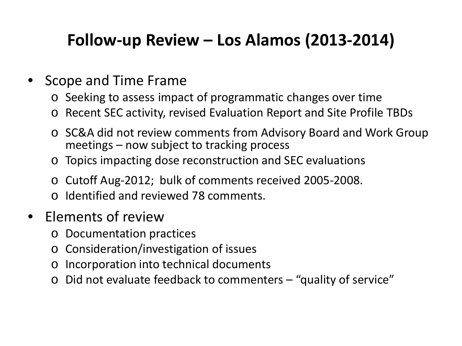# **Follow-up Review – Los Alamos (2013-2014)**

### • Scope and Time Frame

- o Seeking to assess impact of programmatic changes over time
- o Recent SEC activity, revised Evaluation Report and Site Profile TBDs
- o SC&A did not review comments from Advisory Board and Work Group meetings – now subject to tracking process
- o Topics impacting dose reconstruction and SEC evaluations
- o Cutoff Aug-2012; bulk of comments received 2005-2008.
- o Identified and reviewed 78 comments.

### • Elements of review

- o Documentation practices
- o Consideration/investigation of issues
- o Incorporation into technical documents
- o Did not evaluate feedback to commenters "quality of service"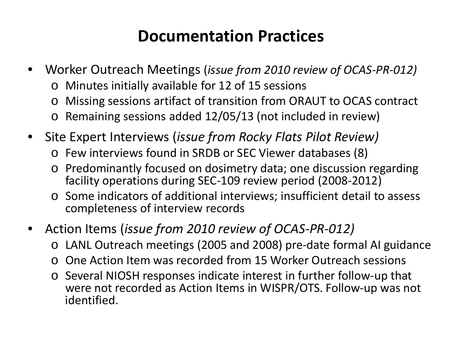# **Documentation Practices**

- Worker Outreach Meetings (*issue from 2010 review of OCAS-PR-012)*
	- Minutes initially available for 12 of 15 sessions
	- o Missing sessions artifact of transition from ORAUT to OCAS contract
	- o Remaining sessions added 12/05/13 (not included in review)
- Site Expert Interviews (*issue from Rocky Flats Pilot Review)*
	- o Few interviews found in SRDB or SEC Viewer databases (8)
	- o Predominantly focused on dosimetry data; one discussion regarding facility operations during SEC-109 review period (2008-2012)
	- o Some indicators of additional interviews; insufficient detail to assess completeness of interview records
- Action Items (*issue from 2010 review of OCAS-PR-012)*
	- o LANL Outreach meetings (2005 and 2008) pre-date formal AI guidance
	- o One Action Item was recorded from 15 Worker Outreach sessions
	- o Several NIOSH responses indicate interest in further follow-up that were not recorded as Action Items in WISPR/OTS. Follow-up was not identified.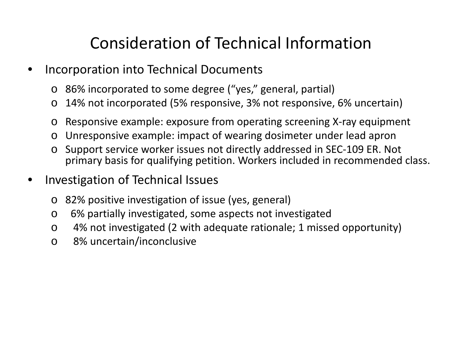# Consideration of Technical Information

- Incorporation into Technical Documents
	- o 86% incorporated to some degree ("yes," general, partial)
	- o 14% not incorporated (5% responsive, 3% not responsive, 6% uncertain)
	- o Responsive example: exposure from operating screening X-ray equipment
	- o Unresponsive example: impact of wearing dosimeter under lead apron
	- o Support service worker issues not directly addressed in SEC-109 ER. Not primary basis for qualifying petition. Workers included in recommended class.
- Investigation of Technical Issues
	- o 82% positive investigation of issue (yes, general)
	- o 6% partially investigated, some aspects not investigated
	- o 4% not investigated (2 with adequate rationale; 1 missed opportunity)
	- o 8% uncertain/inconclusive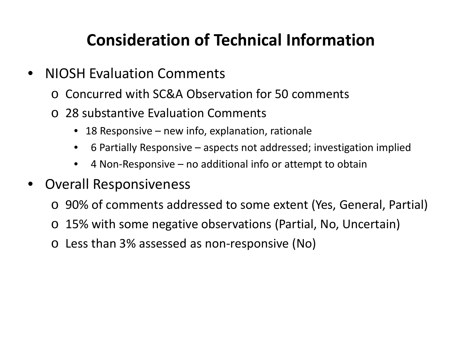# **Consideration of Technical Information**

- NIOSH Evaluation Comments
	- o Concurred with SC&A Observation for 50 comments
	- o 28 substantive Evaluation Comments
		- 18 Responsive new info, explanation, rationale
		- 6 Partially Responsive aspects not addressed; investigation implied
		- 4 Non-Responsive no additional info or attempt to obtain
- Overall Responsiveness
	- o 90% of comments addressed to some extent (Yes, General, Partial)
	- o 15% with some negative observations (Partial, No, Uncertain)
	- o Less than 3% assessed as non-responsive (No)